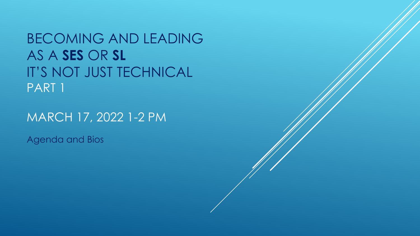BECOMING AND LEADING AS A **SES** OR **SL** IT'S NOT JUST TECHNICAL PART 1

MARCH 17, 2022 1-2 PM

Agenda and Bios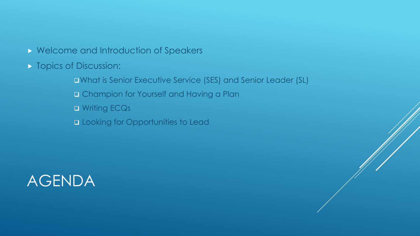## **N** Welcome and Introduction of Speakers

- **Topics of Discussion:** 
	- What is Senior Executive Service (SES) and Senior Leader (SL)
	- Champion for Yourself and Having a Plan
	- **D** Writing ECQs
	- **Q Looking for Opportunities to Lead**

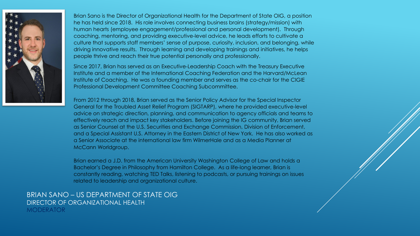

Brian Sano is the Director of Organizational Health for the Department of State OIG, a position he has held since 2018. His role involves connecting business brains (strategy/mission) with human hearts (employee engagement/professional and personal development). Through coaching, mentoring, and providing executive-level advice, he leads efforts to cultivate a culture that supports staff members' sense of purpose, curiosity, inclusion, and belonging, while driving innovative results. Through learning and developing trainings and initiatives, he helps people thrive and reach their true potential personally and professionally.

Since 2017, Brian has served as an Executive-Leadership Coach with the Treasury Executive Institute and a member of the International Coaching Federation and the Harvard/McLean Institute of Coaching. He was a founding member and serves as the co-chair for the CIGIE Professional Development Committee Coaching Subcommittee.

From 2012 through 2018, Brian served as the Senior Policy Advisor for the Special Inspector General for the Troubled Asset Relief Program (SIGTARP), where he provided executive-level advice on strategic direction, planning, and communication to agency officials and teams to effectively reach and impact key stakeholders. Before joining the IG community, Brian served as Senior Counsel at the U.S. Securities and Exchange Commission, Division of Enforcement, and a Special Assistant U.S. Attorney in the Eastern District of New York. He has also worked as a Senior Associate at the international law firm WilmerHale and as a Media Planner at McCann Worldgroup.

Brian earned a J.D. from the American University Washington College of Law and holds a Bachelor's Degree in Philosophy from Hamilton College. As a life-long learner, Brian is constantly reading, watching TED Talks, listening to podcasts, or pursuing trainings on issues related to leadership and organizational culture.

## BRIAN SANO – US DEPARTMENT OF STATE OIG DIRECTOR OF ORGANIZATIONAL HEALTH **MODERATOR**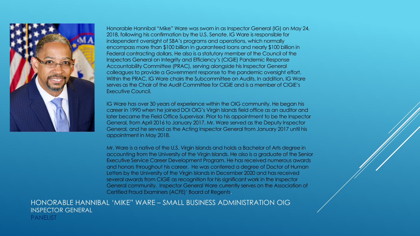

Honorable Hannibal "Mike" Ware was sworn in as Inspector General (IG) on May 24, 2018, following his confirmation by the U.S. Senate. IG Ware is responsible for independent oversight of SBA's programs and operations, which normally encompass more than \$100 billion in guaranteed loans and nearly \$100 billion in Federal contracting dollars. He also is a statutory member of the Council of the Inspectors General on Integrity and Efficiency's (CIGIE) Pandemic Response Accountability Committee (PRAC), serving alongside his Inspector General colleagues to provide a Government response to the pandemic oversight effort. Within the PRAC, IG Ware chairs the Subcommittee on Audits. In addition, IG Ware serves as the Chair of the Audit Committee for CIGIE and is a member of CIGIE's Executive Council.

IG Ware has over 30 years of experience within the OIG community. He began his career in 1990 when he joined DOI OIG's Virgin Islands field office as an auditor and later became the Field Office Supervisor. Prior to his appointment to be the Inspector General, from April 2016 to January 2017, Mr. Ware served as the Deputy Inspector General, and he served as the Acting Inspector General from January 2017 until his appointment in May 2018.

Mr. Ware is a native of the U.S. Virgin Islands and holds a Bachelor of Arts degree in accounting from the University of the Virgin Islands. He also is a graduate of the Senior Executive Service Career Development Program. He has received numerous awards and honors throughout his career. He was conferred a degree of Doctor of Human Letters by the University of the Virgin Islands in December 2020 and has received several awards from CIGIE as recognition for his significant work in the Inspector General community. Inspector General Ware currently serves on the Association of Certified Fraud Examiners (ACFE)' Board of Regents.

HONORABLE HANNIBAL 'MIKE" WARE – SMALL BUSINESS ADMINISTRATION OIG INSPECTOR GENERAL PANELIST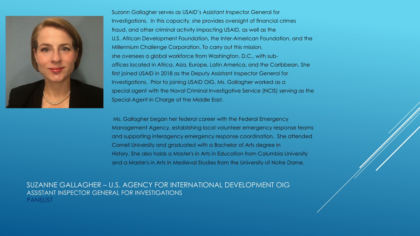

Suzann Gallagher serves as USAID's Assistant Inspector General for Investigations. In this capacity, she provides oversight of financial crimes fraud, and other criminal activity impacting USAID, as well as the U.S. African Development Foundation, the Inter-American Foundation, and the Millennium Challenge Corporation. To carry out this mission, she oversees a global workforce from Washington, D.C., with suboffices located in Africa, Asia, Europe, Latin America, and the Caribbean. She first joined USAID in 2018 as the Deputy Assistant Inspector General for Investigations. Prior to joining USAID OIG, Ms. Gallagher worked as a special agent with the Naval Criminal Investigative Service (NCIS) serving as the Special Agent in Charge of the Middle East.

Ms. Gallagher began her federal career with the Federal Emergency Management Agency, establishing local volunteer emergency response teams and supporting interagency emergency response coordination. She attended Cornell University and graduated with a Bachelor of Arts degree in History. She also holds a Master's in Arts in Education from Columbia University and a Master's in Arts in Medieval Studies from the University of Notre Dame.

SUZANNE GALLAGHER – U.S. AGENCY FOR INTERNATIONAL DEVELOPMENT OIG ASSISTANT INSPECTOR GENERAL FOR INVESTIGATIONS PANELIST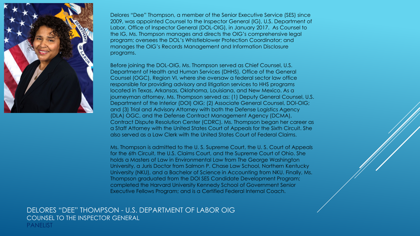

Delores "Dee" Thompson, a member of the Senior Executive Service (SES) since 2009, was appointed Counsel to the Inspector General (IG), U.S. Department of Labor, Office of Inspector General (DOL-OIG), in January 2017. As Counsel to the IG, Ms. Thompson manages and directs the OIG's comprehensive legal program; oversees the DOL's Whistleblower Protection Coordinator; and manages the OIG's Records Management and Information Disclosure programs.

Before joining the DOL-OIG, Ms. Thompson served as Chief Counsel, U.S. Department of Health and Human Services (DHHS), Office of the General Counsel (OGC), Region VI, where she oversaw a federal sector law office responsible for providing advisory and litigation services to HHS programs located in Texas, Arkansas, Oklahoma, Louisiana, and New Mexico. As a journeyman attorney, Ms. Thompson served as: (1) Deputy General Counsel, U.S. Department of the Interior (DOI) OIG; (2) Associate General Counsel, DOI-OIG; and (3) Trial and Advisory Attorney with both the Defense Logistics Agency (DLA) OGC, and the Defense Contract Management Agency (DCMA), Contract Dispute Resolution Center (CDRC). Ms. Thompson began her career as a Staff Attorney with the United States Court of Appeals for the Sixth Circuit. She also served as a Law Clerk with the United States Court of Federal Claims.

Ms. Thompson is admitted to the U. S. Supreme Court, the U. S. Court of Appeals for the 6th Circuit, the U.S. Claims Court, and the Supreme Court of Ohio. She holds a Masters of Law in Environmental Law from The George Washington University, a Juris Doctor from Salmon P. Chase Law School, Northern Kentucky University (NKU), and a Bachelor of Science in Accounting from NKU. Finally, Ms. Thompson graduated from the DOI SES Candidate Development Program; completed the Harvard University Kennedy School of Government Senior Executive Fellows Program; and is a Certified Federal Internal Coach.

DELORES "DEE" THOMPSON - U.S. DEPARTMENT OF LABOR OIG COUNSEL TO THE INSPECTOR GENERAL PANELIST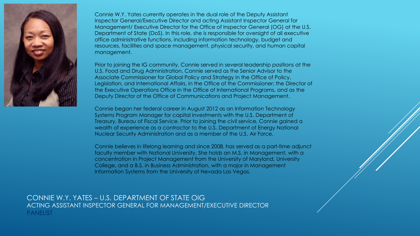

Connie W.Y. Yates currently operates in the dual role of the Deputy Assistant Inspector General/Executive Director and acting Assistant Inspector General for Management/ Executive Director for the Office of Inspector General (OG) at the U.S. Department of State (DoS). In this role, she is responsible for oversight of all executive office administrative functions, including information technology, budget and resources, facilities and space management, physical security, and human capital management.

Prior to joining the IG community, Connie served in several leadership positions at the U.S. Food and Drug Administration. Connie served as the Senior Advisor to the Associate Commissioner for Global Policy and Strategy in the Office of Policy, Legislation, and International Affairs, in the Office of the Commissioner; the Director of the Executive Operations Office in the Office of International Programs, and as the Deputy Director of the Office of Communications and Project Management.

Connie began her federal career in August 2012 as an Information Technology Systems Program Manager for capital investments with the U.S. Department of Treasury, Bureau of Fiscal Service. Prior to joining the civil service, Connie gained a wealth of experience as a contractor to the U.S. Department of Energy National Nuclear Security Administration and as a member of the U.S. Air Force.

Connie believes in lifelong learning and since 2008, has served as a part-time adjunct faculty member with National University. She holds an M.S. in Management, with a concentration in Project Management from the University of Maryland, University College, and a B.S. in Business Administration, with a major in Management Information Systems from the University of Nevada Las Vegas.

CONNIE W.Y. YATES – U.S. DEPARTMENT OF STATE OIG ACTING ASSISTANT INSPECTOR GENERAL FOR MANAGEMENT/EXECUTIVE DIRECTOR PANELIST